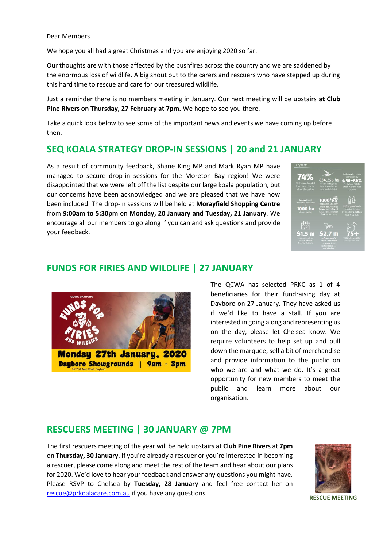We hope you all had a great Christmas and you are enjoying 2020 so far.

Our thoughts are with those affected by the bushfires across the country and we are saddened by the enormous loss of wildlife. A big shout out to the carers and rescuers who have stepped up during this hard time to rescue and care for our treasured wildlife.

Just a reminder there is no members meeting in January. Our next meeting will be upstairs **at Club Pine Rivers on Thursday, 27 February at 7pm.** We hope to see you there.

Take a quick look below to see some of the important news and events we have coming up before then.

### **SEQ KOALA STRATEGY DROP-IN SESSIONS | 20 and 21 JANUARY**

As a result of community feedback, Shane King MP and Mark Ryan MP have managed to secure drop-in sessions for the Moreton Bay region! We were disappointed that we were left off the list despite our large koala population, but our concerns have been acknowledged and we are pleased that we have now been included. The drop-in sessions will be held at **Morayfield Shopping Centre** from **9:00am to 5:30pm** on **Monday, 20 January and Tuesday, 21 January**. We encourage all our members to go along if you can and ask questions and provide your feedback.

| <b>Key facts</b>                                                                     |                                                                                                                                           |                                                                                                         |
|--------------------------------------------------------------------------------------|-------------------------------------------------------------------------------------------------------------------------------------------|---------------------------------------------------------------------------------------------------------|
| 74%<br><b>SEQ koala habitat</b><br>has been cleared<br>since the 1960s               | 634,256 ha<br>of land in SEQ has<br>been identified as<br>core koala habitat                                                              | Koala numbers have<br>decreased by<br>↓50-80%<br>in key SEQ habitat.<br>areas over the past<br>20 years |
| Partnership will<br>commence restoration<br><b>1000 ha</b><br>cleared habitat        | $1000^+$<br>koalas are cared for<br>by the SEQ Hospital<br><b>Network and Moggill</b><br><b>Koala Rehabilitation</b><br>Centre every year | <b>SEQ population is</b><br>expected to grow<br>by another 2 million<br>people by 2041                  |
| $51.5 \text{ m}$<br>given annually to<br>the SEO Wildlife<br><b>Hospital Network</b> | छा<br>52.7 m<br>or Dreamworld's<br><b>Future Lab facility</b><br>for research into<br>oala disease and<br>reproduction                    | SEQ koalas are killed<br>by does each year.                                                             |

#### **FUNDS FOR FIRIES AND WILDLIFE | 27 JANUARY**



The QCWA has selected PRKC as 1 of 4 beneficiaries for their fundraising day at Dayboro on 27 January. They have asked us if we'd like to have a stall. If you are interested in going along and representing us on the day, please let Chelsea know. We require volunteers to help set up and pull down the marquee, sell a bit of merchandise and provide information to the public on who we are and what we do. It's a great opportunity for new members to meet the public and learn more about our organisation.

### **RESCUERS MEETING | 30 JANUARY @ 7PM**

The first rescuers meeting of the year will be held upstairs at **Club Pine Rivers** at **7pm** on **Thursday, 30 January**. If you're already a rescuer or you're interested in becoming a rescuer, please come along and meet the rest of the team and hear about our plans for 2020. We'd love to hear your feedback and answer any questions you might have. Please RSVP to Chelsea by **Tuesday, 28 January** and feel free contact her on [rescue@prkoalacare.com.au](mailto:rescue@prkoalacare.com.au) if you have any questions.



**RESCUE MEETING**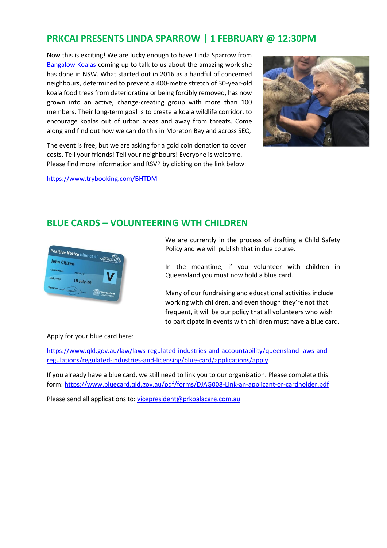## **PRKCAI PRESENTS LINDA SPARROW | 1 FEBRUARY @ 12:30PM**

Now this is exciting! We are lucky enough to have Linda Sparrow from [Bangalow Koalas](http://www.bangalowkoalas.com.au/) coming up to talk to us about the amazing work she has done in NSW. What started out in 2016 as a handful of concerned neighbours, determined to prevent a 400-metre stretch of 30-year-old koala food trees from deteriorating or being forcibly removed, has now grown into an active, change-creating group with more than 100 members. Their long-term goal is to create a koala wildlife corridor, to encourage koalas out of urban areas and away from threats. Come along and find out how we can do this in Moreton Bay and across SEQ.



The event is free, but we are asking for a gold coin donation to cover costs. Tell your friends! Tell your neighbours! Everyone is welcome. Please find more information and RSVP by clicking on the link below:

<https://www.trybooking.com/BHTDM>

## **BLUE CARDS – VOLUNTEERING WTH CHILDREN**



We are currently in the process of drafting a Child Safety Policy and we will publish that in due course.

In the meantime, if you volunteer with children in Queensland you must now hold a blue card.

Many of our fundraising and educational activities include working with children, and even though they're not that frequent, it will be our policy that all volunteers who wish to participate in events with children must have a blue card.

#### Apply for your blue card here:

[https://www.qld.gov.au/law/laws-regulated-industries-and-accountability/queensland-laws-and](https://www.qld.gov.au/law/laws-regulated-industries-and-accountability/queensland-laws-and-regulations/regulated-industries-and-licensing/blue-card/applications/apply)[regulations/regulated-industries-and-licensing/blue-card/applications/apply](https://www.qld.gov.au/law/laws-regulated-industries-and-accountability/queensland-laws-and-regulations/regulated-industries-and-licensing/blue-card/applications/apply)

If you already have a blue card, we still need to link you to our organisation. Please complete this form:<https://www.bluecard.qld.gov.au/pdf/forms/DJAG008-Link-an-applicant-or-cardholder.pdf>

Please send all applications to: [vicepresident@prkoalacare.com.au](mailto:vicepresident@prkoalacare.com.au)